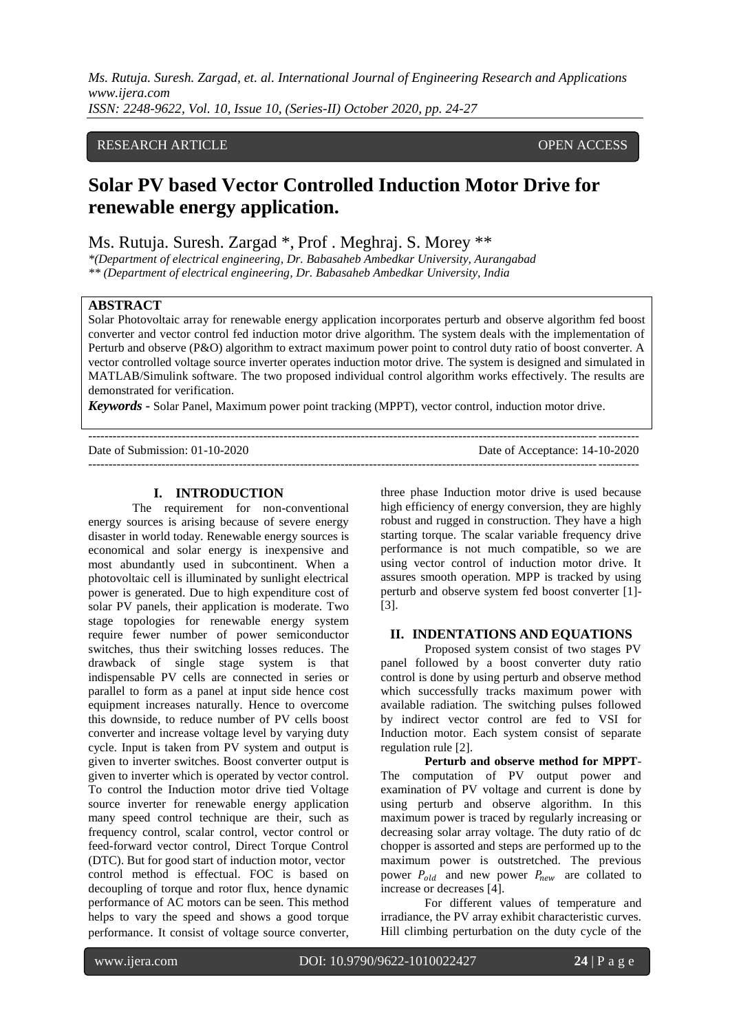## RESEARCH ARTICLE OPEN ACCESS

# **Solar PV based Vector Controlled Induction Motor Drive for renewable energy application.**

Ms. Rutuja. Suresh. Zargad \*, Prof . Meghraj. S. Morey \*\*

*\*(Department of electrical engineering, Dr. Babasaheb Ambedkar University, Aurangabad \*\* (Department of electrical engineering, Dr. Babasaheb Ambedkar University, India*

### **ABSTRACT**

Solar Photovoltaic array for renewable energy application incorporates perturb and observe algorithm fed boost converter and vector control fed induction motor drive algorithm. The system deals with the implementation of Perturb and observe (P&O) algorithm to extract maximum power point to control duty ratio of boost converter. A vector controlled voltage source inverter operates induction motor drive. The system is designed and simulated in MATLAB/Simulink software. The two proposed individual control algorithm works effectively. The results are demonstrated for verification.

*Keywords* **-** Solar Panel, Maximum power point tracking (MPPT), vector control, induction motor drive.

--------------------------------------------------------------------------------------------------------------------------------------- Date of Submission: 01-10-2020 Date of Acceptance: 14-10-2020 ---------------------------------------------------------------------------------------------------------------------------------------

### **I. INTRODUCTION**

The requirement for non-conventional energy sources is arising because of severe energy disaster in world today. Renewable energy sources is economical and solar energy is inexpensive and most abundantly used in subcontinent. When a photovoltaic cell is illuminated by sunlight electrical power is generated. Due to high expenditure cost of solar PV panels, their application is moderate. Two stage topologies for renewable energy system require fewer number of power semiconductor switches, thus their switching losses reduces. The drawback of single stage system is that indispensable PV cells are connected in series or parallel to form as a panel at input side hence cost equipment increases naturally. Hence to overcome this downside, to reduce number of PV cells boost converter and increase voltage level by varying duty cycle. Input is taken from PV system and output is given to inverter switches. Boost converter output is given to inverter which is operated by vector control. To control the Induction motor drive tied Voltage source inverter for renewable energy application many speed control technique are their, such as frequency control, scalar control, vector control or feed-forward vector control, Direct Torque Control (DTC). But for good start of induction motor, vector control method is effectual. FOC is based on decoupling of torque and rotor flux, hence dynamic performance of AC motors can be seen. This method helps to vary the speed and shows a good torque performance. It consist of voltage source converter,

three phase Induction motor drive is used because high efficiency of energy conversion, they are highly robust and rugged in construction. They have a high starting torque. The scalar variable frequency drive performance is not much compatible, so we are using vector control of induction motor drive. It assures smooth operation. MPP is tracked by using perturb and observe system fed boost converter [1]- [3].

## **II. INDENTATIONS AND EQUATIONS**

Proposed system consist of two stages PV panel followed by a boost converter duty ratio control is done by using perturb and observe method which successfully tracks maximum power with available radiation. The switching pulses followed by indirect vector control are fed to VSI for Induction motor. Each system consist of separate regulation rule [2].

**Perturb and observe method for MPPT**-The computation of PV output power and examination of PV voltage and current is done by using perturb and observe algorithm. In this maximum power is traced by regularly increasing or decreasing solar array voltage. The duty ratio of dc chopper is assorted and steps are performed up to the maximum power is outstretched. The previous power  $P_{old}$  and new power  $P_{new}$  are collated to increase or decreases [4].

For different values of temperature and irradiance, the PV array exhibit characteristic curves. Hill climbing perturbation on the duty cycle of the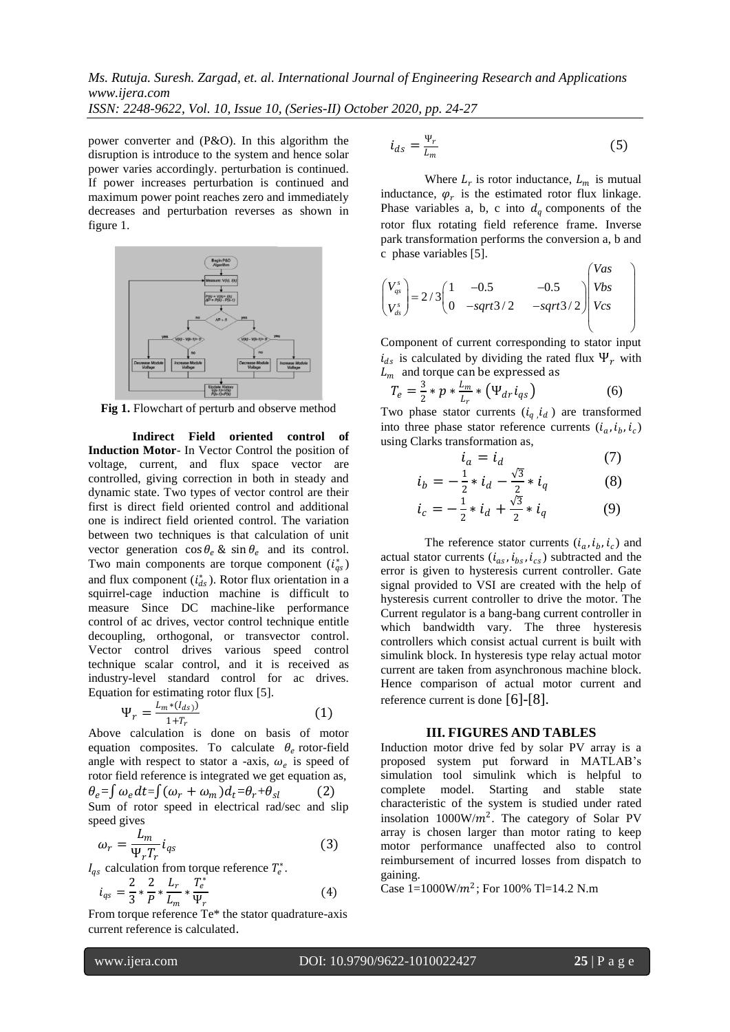power converter and (P&O). In this algorithm the disruption is introduce to the system and hence solar power varies accordingly. perturbation is continued. If power increases perturbation is continued and maximum power point reaches zero and immediately decreases and perturbation reverses as shown in figure 1.



**Fig 1.** Flowchart of perturb and observe method

**Indirect Field oriented control of Induction Motor**- In Vector Control the position of voltage, current, and flux space vector are controlled, giving correction in both in steady and dynamic state. Two types of vector control are their first is direct field oriented control and additional one is indirect field oriented control. The variation between two techniques is that calculation of unit vector generation  $\cos \theta_e$  &  $\sin \theta_e$  and its control. Two main components are torque component  $(i_{qs}^*)$ and flux component  $(i<sub>ds</sub><sup>*</sup>)$ . Rotor flux orientation in a squirrel-cage induction machine is difficult to measure Since DC machine-like performance control of ac drives, vector control technique entitle decoupling, orthogonal, or transvector control. Vector control drives various speed control technique scalar control, and it is received as industry-level standard control for ac drives. Equation for estimating rotor flux [5].

$$
\Psi_r = \frac{L_m * (I_{ds})}{1 + T_r} \tag{1}
$$

Above calculation is done on basis of motor equation composites. To calculate  $\theta_e$  rotor-field angle with respect to stator a -axis,  $\omega_e$  is speed of rotor field reference is integrated we get equation as,  $\theta_e = \int \omega_e dt = \int (\omega_r + \omega_m) d_t = \theta_r + \theta_{sl}$  (2) Sum of rotor speed in electrical rad/sec and slip speed gives

$$
\omega_r = \frac{L_m}{\Psi_r T_r} i_{qs} \tag{3}
$$

 $I_{qs}$  calculation from torque reference  $T_e^*$ .

$$
i_{qs} = \frac{2}{3} * \frac{2}{P} * \frac{L_r}{L_m} * \frac{T_e^*}{\Psi_r}
$$
 (4)

From torque reference Te\* the stator quadrature-axis current reference is calculated.

$$
i_{ds} = \frac{\Psi_r}{L_m} \tag{5}
$$

Where  $L_r$  is rotor inductance,  $L_m$  is mutual inductance,  $\varphi_r$  is the estimated rotor flux linkage. Phase variables a, b, c into  $d_a$  components of the rotor flux rotating field reference frame. Inverse park transformation performs the conversion a, b and c phase variables [5].

$$
\begin{pmatrix}\nV_{gs}^{s} \\
V_{gs}^{s}\n\end{pmatrix} = 2/3 \begin{pmatrix}\n1 & -0.5 & -0.5 \\
0 & -sqrt3/2 & -sqrt3/2\n\end{pmatrix} \begin{pmatrix}\nV_{as} \\
V_{bs} \\
V_{cs}\n\end{pmatrix}
$$

Component of current corresponding to stator input  $i_{ds}$  is calculated by dividing the rated flux  $\Psi_r$  with  $L_m$  and torque can be expressed as

$$
T_e = \frac{3}{2} * p * \frac{L_m}{L_r} * (\Psi_{dr} i_{qs})
$$
 (6)

Two phase stator currents  $(i_q, i_d)$  are transformed into three phase stator reference currents  $(i_a, i_b, i_c)$ using Clarks transformation as,

$$
i_a = i_d \tag{7}
$$

$$
i_b = -\frac{1}{2} * i_d - \frac{\sqrt{3}}{2} * i_q \tag{8}
$$

$$
i_c = -\frac{1}{2} \cdot i_d + \frac{\sqrt{3}}{2} \cdot i_q \tag{9}
$$

The reference stator currents  $(i_a, i_b, i_c)$  and actual stator currents  $(i_{as}, i_{bs}, i_{cs})$  subtracted and the error is given to hysteresis current controller. Gate signal provided to VSI are created with the help of hysteresis current controller to drive the motor. The Current regulator is a bang-bang current controller in which bandwidth vary. The three hysteresis controllers which consist actual current is built with simulink block. In hysteresis type relay actual motor current are taken from asynchronous machine block. Hence comparison of actual motor current and reference current is done [6]-[8].

#### **III. FIGURES AND TABLES**

Induction motor drive fed by solar PV array is a proposed system put forward in MATLAB's simulation tool simulink which is helpful to complete model. Starting and stable state characteristic of the system is studied under rated insolation  $1000 \frac{W}{m^2}$ . The category of Solar PV array is chosen larger than motor rating to keep motor performance unaffected also to control reimbursement of incurred losses from dispatch to gaining.

Case  $1=1000 \text{W/m}^2$ ; For 100% Tl=14.2 N.m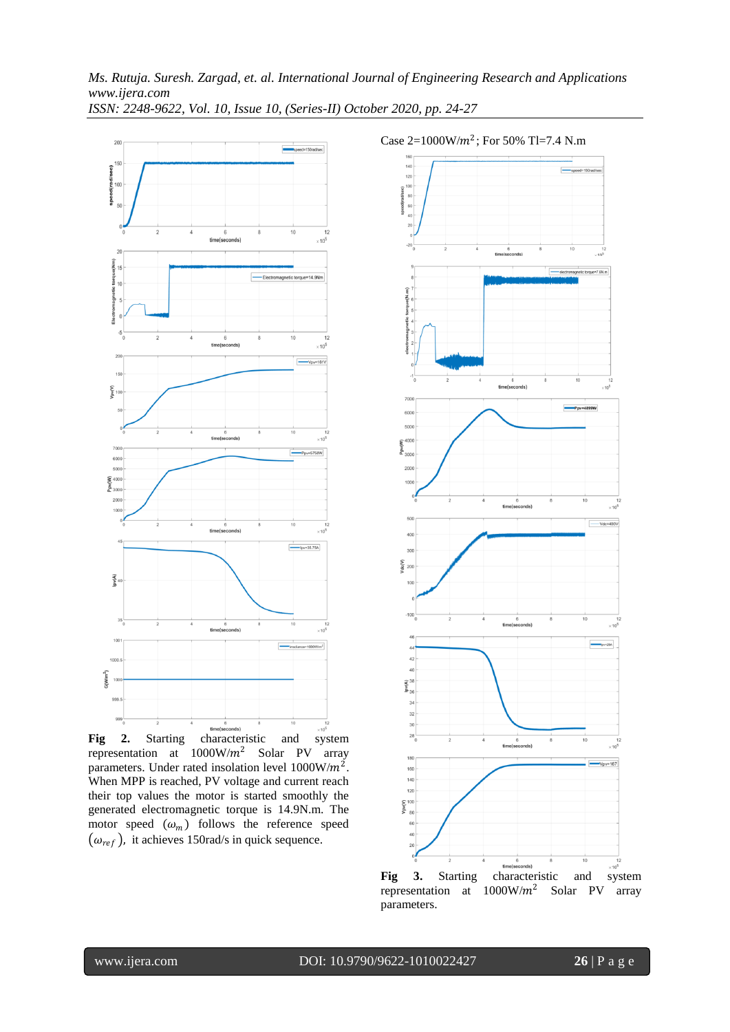

representation at  $1000W/m^2$  Solar PV array parameters. Under rated insolation level  $1000 \text{W/m}^2$ . When MPP is reached, PV voltage and current reach their top values the motor is started smoothly the generated electromagnetic torque is 14.9N.m. The motor speed  $(\omega_m)$  follows the reference speed  $(\omega_{ref})$ , it achieves 150rad/s in quick sequence.



Case  $2=1000 \text{W/m}^2$ ; For 50% Tl=7.4 N.m

**Fig 3.** Starting characteristic and system representation at  $1000W/m^2$  Solar PV array parameters.